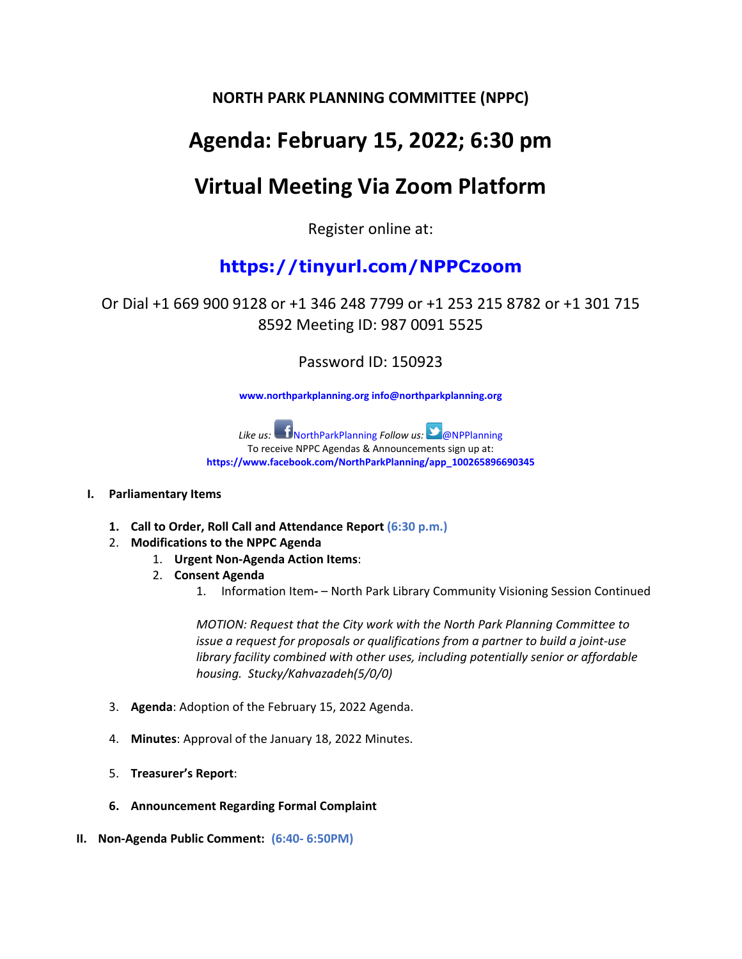### **NORTH PARK PLANNING COMMITTEE (NPPC)**

# **Agenda: February 15, 2022; 6:30 pm**

# **Virtual Meeting Via Zoom Platform**

Register online at:

### **https://tinyurl.com/NPPCzoom**

Or Dial +1 669 900 9128 or +1 346 248 7799 or +1 253 215 8782 or +1 301 715 8592 Meeting ID: 987 0091 5525

Password ID: 150923

**www.northparkplanning.org info@northparkplanning.org**

Like us: **NorthParkPlanning Follow us: CONPPlanning** To receive NPPC Agendas & Announcements sign up at: **https://www.facebook.com/NorthParkPlanning/app\_100265896690345**

#### **I. Parliamentary Items**

- **1. Call to Order, Roll Call and Attendance Report (6:30 p.m.)**
- 2. **Modifications to the NPPC Agenda** 
	- 1. **Urgent Non-Agenda Action Items**:
	- 2. **Consent Agenda**
		- 1. Information Item**-** North Park Library Community Visioning Session Continued

*MOTION: Request that the City work with the North Park Planning Committee to issue a request for proposals or qualifications from a partner to build a joint-use library facility combined with other uses, including potentially senior or affordable housing. Stucky/Kahvazadeh(5/0/0)*

- 3. **Agenda**: Adoption of the February 15, 2022 Agenda.
- 4. **Minutes**: Approval of the January 18, 2022 Minutes.
- 5. **Treasurer's Report**:
- **6. Announcement Regarding Formal Complaint**
- **II. Non-Agenda Public Comment: (6:40- 6:50PM)**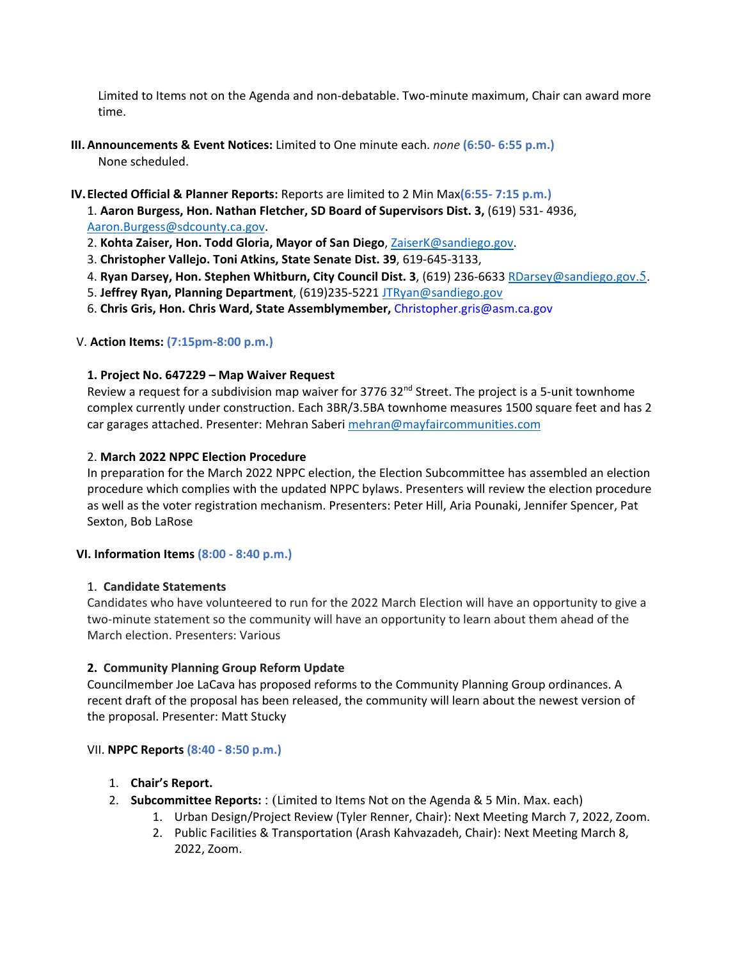Limited to Items not on the Agenda and non-debatable. Two-minute maximum, Chair can award more time.

- **III. Announcements & Event Notices:** Limited to One minute each. *none* **(6:50- 6:55 p.m.)**  None scheduled.
- **IV.Elected Official & Planner Reports:** Reports are limited to 2 Min Max**(6:55- 7:15 p.m.)**

1. **Aaron Burgess, Hon. Nathan Fletcher, SD Board of Supervisors Dist. 3,** (619) 531- 4936, [Aaron.Burgess@sdcounty.ca.gov.](mailto:Aaron.Burgess@sdcounty.ca.gov)

- 2. **Kohta Zaiser, Hon. Todd Gloria, Mayor of San Diego**, [ZaiserK@sandiego.gov.](mailto:ZaiserK@sandiego.gov)
- 3. **Christopher Vallejo. Toni Atkins, State Senate Dist. 39**, 619-645-3133,
- 4. **Ryan Darsey, Hon. Stephen Whitburn, City Council Dist. 3**, (619) 236-663[3 RDarsey@sandiego.gov](mailto:RDarsey@sandiego.gov.5)[.5.](mailto:RDarsey@sandiego.gov.5)
- 5. **Jeffrey Ryan, Planning Department**, (619)235-5221 [JTRyan@sandiego.gov](mailto:JTRyan@sandiego.gov)
- 6. **Chris Gris, Hon. Chris Ward, State Assemblymember,** Christopher.gris@asm.ca.gov

#### V. **Action Items: (7:15pm-8:00 p.m.)**

#### **1. Project No. 647229 – Map Waiver Request**

Review a request for a subdivision map waiver for 3776 32 $<sup>nd</sup>$  Street. The project is a 5-unit townhome</sup> complex currently under construction. Each 3BR/3.5BA townhome measures 1500 square feet and has 2 car garages attached. Presenter: Mehran Saberi [mehran@mayfaircommunities.com](mailto:mehran@mayfaircommunities.com)

#### 2. **March 2022 NPPC Election Procedure**

In preparation for the March 2022 NPPC election, the Election Subcommittee has assembled an election procedure which complies with the updated NPPC bylaws. Presenters will review the election procedure as well as the voter registration mechanism. Presenters: Peter Hill, Aria Pounaki, Jennifer Spencer, Pat Sexton, Bob LaRose

#### **VI. Information Items (8:00 - 8:40 p.m.)**

#### 1. **Candidate Statements**

Candidates who have volunteered to run for the 2022 March Election will have an opportunity to give a two-minute statement so the community will have an opportunity to learn about them ahead of the March election. Presenters: Various

#### **2. Community Planning Group Reform Update**

Councilmember Joe LaCava has proposed reforms to the Community Planning Group ordinances. A recent draft of the proposal has been released, the community will learn about the newest version of the proposal. Presenter: Matt Stucky

#### VII. **NPPC Reports (8:40 - 8:50 p.m.)**

#### 1. **Chair's Report.**

- 2. **Subcommittee Reports:** : (Limited to Items Not on the Agenda & 5 Min. Max. each)
	- 1. Urban Design/Project Review (Tyler Renner, Chair): Next Meeting March 7, 2022, Zoom.
	- 2. Public Facilities & Transportation (Arash Kahvazadeh, Chair): Next Meeting March 8, 2022, Zoom.